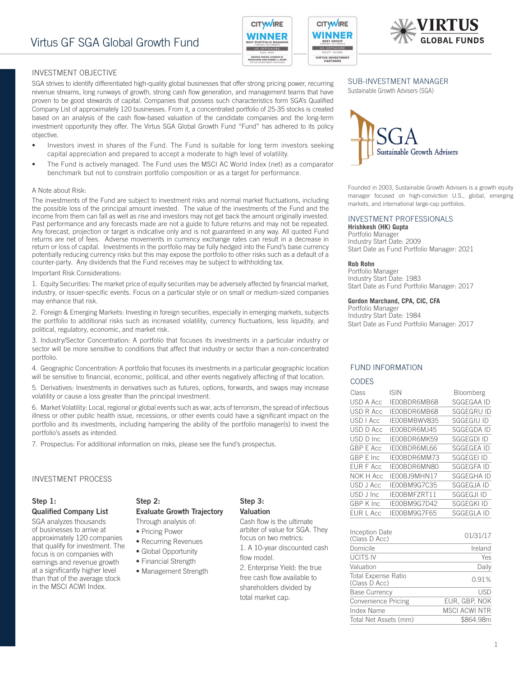

**CITW/IRE** 

WINNER US OFFSHORE

**VIRTUS INVESTMENT**<br>PARTNERS



# INVESTMENT OBJECTIVE

SGA strives to identify differentiated high-quality global businesses that offer strong pricing power, recurring revenue streams, long runways of growth, strong cash flow generation, and management teams that have proven to be good stewards of capital. Companies that possess such characteristics form SGA's Qualified Company List of approximately 120 businesses. From it, a concentrated portfolio of 25-35 stocks is created based on an analysis of the cash flow-based valuation of the candidate companies and the long-term investment opportunity they offer. The Virtus SGA Global Growth Fund "Fund" has adhered to its policy objective.

- Investors invest in shares of the Fund. The Fund is suitable for long term investors seeking capital appreciation and prepared to accept a moderate to high level of volatility.
- The Fund is actively managed. The Fund uses the MSCI AC World Index (net) as a comparator benchmark but not to constrain portfolio composition or as a target for performance.

## A Note about Risk:

The investments of the Fund are subject to investment risks and normal market fluctuations, including the possible loss of the principal amount invested. The value of the investments of the Fund and the income from them can fall as well as rise and investors may not get back the amount originally invested. Past performance and any forecasts made are not a guide to future returns and may not be repeated. Any forecast, projection or target is indicative only and is not guaranteed in any way. All quoted Fund returns are net of fees. Adverse movements in currency exchange rates can result in a decrease in return or loss of capital. Investments in the portfolio may be fully hedged into the Fund's base currency potentially reducing currency risks but this may expose the portfolio to other risks such as a default of a counter-party. Any dividends that the Fund receives may be subject to withholding tax.

#### Important Risk Considerations:

1. Equity Securities: The market price of equity securities may be adversely affected by financial market, industry, or issuer-specific events. Focus on a particular style or on small or medium-sized companies may enhance that risk.

2. Foreign & Emerging Markets: Investing in foreign securities, especially in emerging markets, subjects the portfolio to additional risks such as increased volatility, currency fluctuations, less liquidity, and political, regulatory, economic, and market risk.

3. Industry/Sector Concentration: A portfolio that focuses its investments in a particular industry or sector will be more sensitive to conditions that affect that industry or sector than a non-concentrated portfolio.

4. Geographic Concentration: A portfolio that focuses its investments in a particular geographic location will be sensitive to financial, economic, political, and other events negatively affecting of that location.

5. Derivatives: Investments in derivatives such as futures, options, forwards, and swaps may increase volatility or cause a loss greater than the principal investment.

6. Market Volatility: Local, regional or global events such as war, acts of terrorism, the spread of infectious illness or other public health issue, recessions, or other events could have a significant impact on the portfolio and its investments, including hampering the ability of the portfolio manager(s) to invest the portfolio's assets as intended.

7. Prospectus: For additional information on risks, please see the fund's prospectus.

## INVESTMENT PROCESS

## Step 1: Qualified Company List

SGA analyzes thousands of businesses to arrive at approximately 120 companies that qualify for investment. The focus is on companies with earnings and revenue growth at a significantly higher level than that of the average stock in the MSCI ACWI Index.

# Step 2: Evaluate Growth Trajectory

Through analysis of:

- Pricing Power
- Recurring Revenues
- Global Opportunity
- Financial Strength
- Management Strength

# Step 3: Valuation

Cash flow is the ultimate arbiter of value for SGA. They focus on two metrics:

1. A 10-year discounted cash flow model.

2. Enterprise Yield: the true free cash flow available to shareholders divided by total market cap.

## SUB-INVESTMENT MANAGER

Sustainable Growth Advisers (SGA)



Founded in 2003, Sustainable Growth Advisers is a growth equity manager focused on high-conviction U.S., global, emerging markets, and international large-cap portfolios.

## INVESTMENT PROFESSIONALS

**Hrishkesh (HK) Gupta** Portfolio Manager Industry Start Date: 2009 Start Date as Fund Portfolio Manager: 2021

#### **Rob Rohn**

Portfolio Manager Industry Start Date: 1983 Start Date as Fund Portfolio Manager: 2017

#### **Gordon Marchand, CPA, CIC, CFA**

Portfolio Manager Industry Start Date: 1984 Start Date as Fund Portfolio Manager: 2017

## FUND INFORMATION

#### CODES

| Class            | ISIN         | <b>Bloomberg</b>  |
|------------------|--------------|-------------------|
| USD A Acc        | IE00BDR6MB68 | SGGEGAA ID        |
| USD R Acc        | IE00BDR6MB68 | SGGEGRU ID        |
| USD LAcc         | IE00BMBWV835 | SGGEGIU ID        |
| USD D Acc        | IE00BDR6MJ45 | <b>SGGEGDA ID</b> |
| USD D Inc        | IE00BDR6MK59 | <b>SGGEGDI ID</b> |
| <b>GBP E Acc</b> | IE00BDR6ML66 | <b>SGGEGEA ID</b> |
| GBP F Inc.       | IFOOBDR6MM73 | SGGEGEI ID        |
| EUR F Acc        | IE00BDR6MN80 | SGGEGFA ID        |
| NOK H Acc        | IE00BJ9MHN17 | SGGEGHA ID        |
| USD J Acc        | IE00BM9G7C35 | SGGEGJA ID        |
| USD J Inc        | IE00BMFZRT11 | SGGEGJI ID        |
| GBP K Inc        | IE00BM9G7D42 | SGGEGKI ID        |
| EUR L Acc        | IE00BM9G7F65 | SGGEGLA ID        |
|                  |              |                   |

| Inception Date<br>(Class D Acc)      | 01/31/17             |
|--------------------------------------|----------------------|
| Domicile                             | Ireland              |
| <b>UCITS IV</b>                      | Yes                  |
| Valuation                            | Daily                |
| Total Expense Ratio<br>(Class D Acc) | 0.91%                |
| <b>Base Currency</b>                 | USD                  |
| Convenience Pricing                  | EUR, GBP, NOK        |
| Index Name                           | <b>MSCI ACWI NTR</b> |
| Total Net Assets (mm)                | \$864.98m            |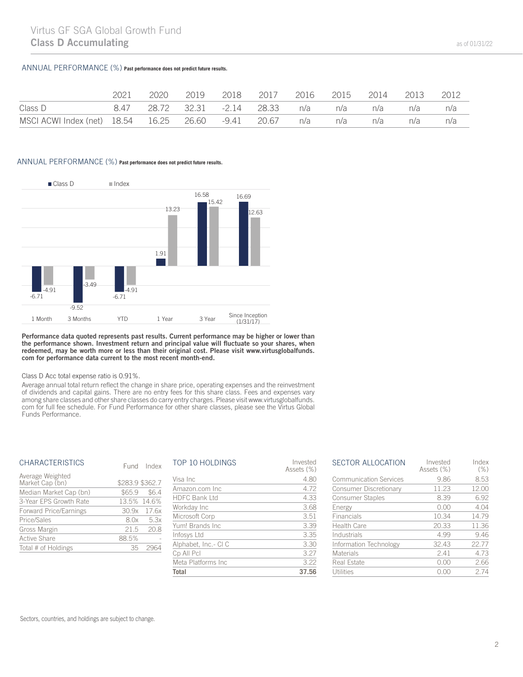## ANNUAL PERFORMANCE (%) **Past performance does not predict future results.**

|                                                                        | 2021 | 2020 | 2019 |                                          | 2016 |     | 2015 2014 | 2013 | 2012 |
|------------------------------------------------------------------------|------|------|------|------------------------------------------|------|-----|-----------|------|------|
| Class D                                                                |      |      |      | 8.47 28.72 32.31 -2.14 28.33 n/a n/a n/a |      |     |           | n/a  | n/a  |
| MSCI ACWI Index (net) 18.54    16.25    26.60    -9.41    20.67    n/a |      |      |      |                                          |      | n/a | n/a       | n/a  | n/a  |

## ANNUAL PERFORMANCE (%) **Past performance does not predict future results.**



Performance data quoted represents past results. Current performance may be higher or lower than the performance shown. Investment return and principal value will fluctuate so your shares, when redeemed, may be worth more or less than their original cost. Please visit www.virtusglobalfunds. com for performance data current to the most recent month-end.

## Class D Acc total expense ratio is 0.91%.

Average annual total return reflect the change in share price, operating expenses and the reinvestment of dividends and capital gains. There are no entry fees for this share class. Fees and expenses vary among share classes and other share classes do carry entry charges. Please visit www.virtusglobalfunds. com for full fee schedule. For Fund Performance for other share classes, please see the Virtus Global Funds Performance.

| <b>CHARACTERISTICS</b>              |                 | Fund Index     |
|-------------------------------------|-----------------|----------------|
| Average Weighted<br>Market Cap (bn) | \$283.9 \$362.7 |                |
| Median Market Cap (bn)              |                 | $$65.9$ $$6.4$ |
| 3-Year EPS Growth Rate              |                 | 13.5% 14.6%    |
| <b>Forward Price/Earnings</b>       |                 | 30.9x 17.6x    |
| Price/Sales                         |                 | 8.0x 5.3x      |
| Gross Margin                        | 21.5            | 20.8           |
| <b>Active Share</b>                 | 88.5%           |                |
| Total # of Holdings                 | 35              |                |

| Total                | 37.56                  |
|----------------------|------------------------|
| Meta Platforms Inc.  | 3.22                   |
| Cp All Pcl           | 3.27                   |
| Alphabet, Inc.- CI C | 3.30                   |
| Infosys Ltd          | 3.35                   |
| Yum! Brands Inc.     | 3.39                   |
| Microsoft Corp       | 3.51                   |
| Workday Inc          | 3.68                   |
| <b>HDFC Bank Ltd</b> | 4.33                   |
| Amazon.com Inc.      | 4.72                   |
| Visa Inc             | 4.80                   |
| TOP 10 HOLDINGS      | Invested<br>Assets (%) |

| <b>SECTOR ALLOCATION</b>      | Invested<br>Assets (%) | Index<br>(% ) |
|-------------------------------|------------------------|---------------|
| <b>Communication Services</b> | 9.86                   | 8.53          |
| Consumer Discretionary        | 11.23                  | 12.00         |
| <b>Consumer Staples</b>       | 8.39                   | 6.92          |
| Energy                        | 0.00                   | 4.04          |
| Financials                    | 10.34                  | 14.79         |
| <b>Health Care</b>            | 20.33                  | 11.36         |
| Industrials                   | 4.99                   | 9.46          |
| Information Technology        | 32.43                  | 22.77         |
| Materials                     | 2.41                   | 4.73          |
| Real Estate                   | 0.00                   | 2.66          |
| Utilities                     | () () ()               | 274           |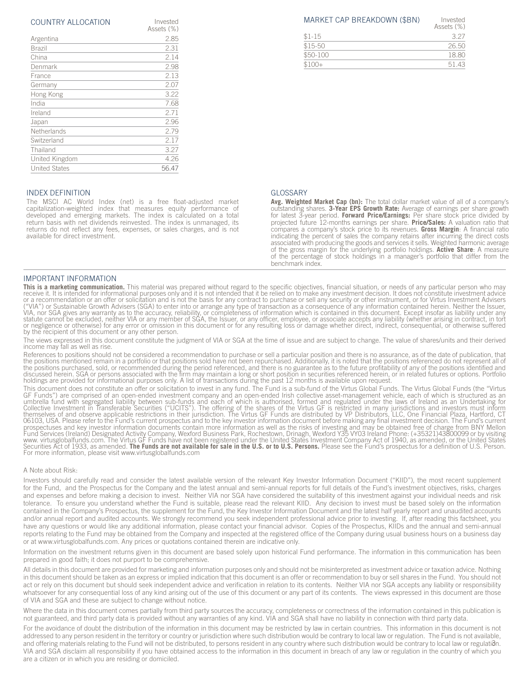| COUNTRY ALLOCATION | Invested |
|--------------------|----------|
|                    |          |

| Assets (%) |
|------------|
| 2.85       |
| 2.31       |
| 2.14       |
| 2.98       |
| 2.13       |
| 2.07       |
| 3.22       |
| 7.68       |
| 2.71       |
| 2.96       |
| 2.79       |
| 2.17       |
| 3.27       |
| 4.26       |
| 56.47      |
|            |

### INDEX DEFINITION

The MSCI AC World Index (net) is a free float-adjusted market capitalization-weighted index that measures equity performance of developed and emerging markets. The index is calculated on a total return basis with net dividends reinvested. The index is unmanaged, its returns do not reflect any fees, expenses, or sales charges, and is not available for direct investment.

## IMPORTANT INFORMATION

**This is a marketing communication.** This material was prepared without regard to the specific objectives, financial situation, or needs of any particular person who may receive it. It is intended for informational purpose VIA, nor SGA gives any warranty as to the accuracy, reliability, or completeness of information which is contained in this document. Except insofar as liability under any<br>statute cannot be excluded, neither VIA or any memb by the recipient of this document or any other person.

The views expressed in this document constitute the judgment of VIA or SGA at the time of issue and are subject to change. The value of shares/units and their derived income may fall as well as rise.

References to positions should not be considered a recommendation to purchase or sell a particular position and there is no assurance, as of the date of publication, that the positions mentioned remain in a portfolio or that positions sold have not been repurchased. Additionally, it is noted that the positions referenced do not represent all of<br>the positions purchased, sold, or recommended holdings are provided for informational purposes only. A list of transactions during the past 12 months is available upon request.

This document does not constitute an offer or solicitation to invest in any fund. The Fund is a sub-fund of the Virtus Global Funds. The Virtus Global Funds (the "Virtus GF Funds") are comprised of an open-ended investment Securities Act of 1933, as amended. **The Funds are not available for sale in the U.S. or to U.S. Persons.** Please see the Fund's prospectus for a definition of U.S. Person. For more information, please visit www.virtusglobalfunds.com

#### A Note about Risk:

Investors should carefully read and consider the latest available version of the relevant Key Investor Information Document ("KIID"), the most recent supplement for the Fund, and the Prospectus for the Company and the latest annual and semi-annual reports for full details of the Fund's investment objectives, risks, charges and expenses and before making a decision to invest. Neither VIA nor SGA have considered the suitability of this investment against your individual needs and risk tolerance. To ensure you understand whether the Fund is suitable, please read the relevant KIID. Any decision to invest must be based solely on the information contained in the Company's Prospectus, the supplement for the Fund, the Key Investor Information Document and the latest half yearly report and unaudited accounts and/or annual report and audited accounts. We strongly recommend you seek independent professional advice prior to investing. If, after reading this factsheet, you have any questions or would like any additional information, please contact your financial advisor. Copies of the Prospectus, KIIDs and the annual and semi-annual reports relating to the Fund may be obtained from the Company and inspected at the registered office of the Company during usual business hours on a business day or at www.virtusglobalfunds.com. Any prices or quotations contained therein are indicative only.

Information on the investment returns given in this document are based solely upon historical Fund performance. The information in this communication has been prepared in good faith; it does not purport to be comprehensive.

All details in this document are provided for marketing and information purposes only and should not be misinterpreted as investment advice or taxation advice. Nothing in this document should be taken as an express or implied indication that this document is an offer or recommendation to buy or sell shares in the Fund. You should not act or rely on this document but should seek independent advice and verification in relation to its contents. Neither VIA nor SGA accepts any liability or responsibility whatsoever for any consequential loss of any kind arising out of the use of this document or any part of its contents. The views expressed in this document are those of VIA and SGA and these are subject to change without notice.

Where the data in this document comes partially from third party sources the accuracy, completeness or correctness of the information contained in this publication is not guaranteed, and third party data is provided without any warranties of any kind. VIA and SGA shall have no liability in connection with third party data.

and offering materials relating to the Fund will not be distributed, to persons resident in any country where such distribution would be contrary to local law or regulation. For the avoidance of doubt the distribution of the information in this document may be restricted by law in certain countries. This information in this document is not addressed to any person resident in the territory or country or jurisdiction where such distribution would be contrary to local law or regulation. The Fund is not available, VIA and SGA disclaim all responsibility if you have obtained access to the information in this document in breach of any law or regulation in the country of which you are a citizen or in which you are residing or domiciled.

|          | Assets (%) |
|----------|------------|
| $$1-15$  | 327        |
| \$15-50  | 26.50      |
| \$50-100 | 18.80      |
| $$100+$  | 51 43      |

#### GLOSSARY

**Avg. Weighted Market Cap (bn):** The total dollar market value of all of a company's outstanding shares. **3-Year EPS Growth Rate:** Average of earnings per share growth for latest 3-year period. **Forward Price/Earnings:** Per share stock price divided by projected future 12-months earnings per share. **Price/Sales:** A valuation ratio that compares a company's stock price to its revenues. **Gross Margin**: A financial ratio indicating the percent of sales the company retains after incurring the direct costs associated with producing the goods and services it sells. Weighted harmonic average of the gross margin for the underlying portfolio holdings. **Active Share**: A measure of the percentage of stock holdings in a manager's portfolio that differ from the benchmark index.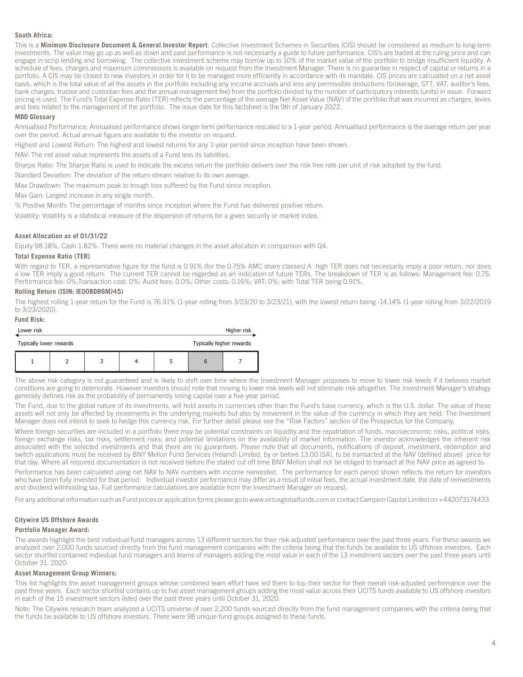#### **South Africa:**

This is a **Minimum Disclosure Document & General Investor Report**. Collective Investment Schemes in Securities (CIS) should be considered as medium to long-term investments. The value may go up as well as down and past performance is not necessarily a guide to future performance. CIS's are traded at the ruling price and can engage in scrip lending and borrowing. The collective investment scheme may borrow up to 10% of the market value of the portfolio to bridge insufficient liquidity. A schedule of fees, charges and maximum commissions is available on request from the Investment Manager. There is no guarantee in respect of capital or returns in a portfolio. A CIS may be closed to new investors in order for it to be managed more efficiently in accordance with its mandate. CIS prices are calculated on a net asset basis, which is the total value of all the assets in the portfolio including any income accruals and less any permissible deductions (brokerage, STT, VAT, auditor's fees, bank charges, trustee and custodian fees and the annual management fee) from the portfolio divided by the number of participatory interests (units) in issue. Forward pricing is used. The Fund's Total Expense Ratio (TER) reflects the percentage of the average Net Asset Value (NAV) of the portfolio that was incurred as charges, levies and fees related to the management of the portfolio. The issue date for this factsheet is the 9th of January 2022.

#### **MDD Glossary**

Annualised Performance: Annualised performance shows longer term performance rescaled to a 1-year period. Annualised performance is the average return per year over the period. Actual annual figues are available to the investor on request.

Highest and Lowest Return: The highest and lowest returns for any 1-year period since inception have been shown.

NAV: The net asset value represents the assets of a Fund less its liabilities.

Sharpe Ratio: The Sharpe Ratio is used to indicate the excess return the portfolio delivers over the risk free rate per unit of risk adopted by the fund.

Standard Deviation: The deviation of the return stream relative to its own average.

Max Drawdown: The maximum peak to trough loss suffered by the Fund since inception.

Max Gain: Largest increase in any single month.

% Positive Month: The percentage of months since inception where the Fund has delivered positive return.

Volatility: Volatility is a statistical measure of the dispersion of returns for a given security or market index.

### **Asset Allocation as of 01/31/22**

Equity 98.18%, Cash 1.82%. There were no material changes in the asset allocation in comparison with Q4.

#### **Total Expense Ratio (TER)**

**Fund Risk:**

With regard to TER, a representative figure for the fund is 0.91% (for the 0.75% AMC share classes).A high TER does not necessarily imply a poor return, nor does a low TER imply a good return. The current TER cannot be regarded as an indication of future TERs. The breakdown of TER is as follows: Management fee: 0.75; Performance fee: 0%;Transaction cost: 0%; Audit fees: 0.0%; Other costs: 0.16%; VAT: 0%; with Total TER being 0.91%.

## **Rolling Return (ISIN: IE00BDR6MJ45)**

The highest rolling 1-year return for the Fund is 76.91% (1-year rolling from 3/23/20 to 3/23/21), with the lowest return being -14.14% (1-year rolling from 3/22/2019 to 3/23/2020).

| FUND RISK:<br>Lower risk                            |  |  |  |  |   | Higher risk |
|-----------------------------------------------------|--|--|--|--|---|-------------|
| Typically higher rewards<br>Typically lower rewards |  |  |  |  |   |             |
|                                                     |  |  |  |  | b |             |

The above risk category is not guaranteed and is likely to shift over time where the Investment Manager proposes to move to lower risk levels if it believes market conditions are going to deteriorate. However investors should note that moving to lower risk levels will not eliminate risk altogether. The Investment Manager's strategy generally defines risk as the probability of permanently losing capital over a five-year period.

The Fund, due to the global nature of its investments, will hold assets in currencies other than the Fund's base currency, which is the U.S. dollar. The value of these assets will not only be affected by movements in the underlying markets but also by movement in the value of the currency in which they are held. The Investment Manager does not intend to seek to hedge this currency risk. For further detail please see the "Risk Factors" section of the Prospectus for the Company.

Where foreign securities are included in a portfolio there may be potential constraints on liquidity and the repatriation of funds, macroeconomic risks, political risks, foreign exchange risks, tax risks, settlement risks; and potential limitations on the availability of market information. The investor acknowledges the inherent risk associated with the selected investments and that there are no guarantees. Please note that all documents, notifications of deposit, investment, redemption and switch applications must be received by BNY Mellon Fund Services (Ireland) Limited, by or before 13:00 (SA), to be transacted at the NAV (defined above) price for that day. Where all required documentation is not received before the stated cut off time BNY Mellon shall not be obliged to transact at the NAV price as agreed to.

Performance has been calculated using net NAV to NAV numbers with income reinvested. The performance for each period shown reflects the return for investors who have been fully invested for that period. Individual investor performance may differ as a result of initial fees, the actual investment date, the date of reinvestments and dividend withholding tax. Full performance calculations are available from the Investment Manager on request.

For any additional information such as Fund prices or application forms please go to www.virtusglobalfunds.com or contact Campion Capital Limited on +442073174433.

### **Citywire US Offshore Awards**

### **Portfolio Manager Award:**

The awards highlight the best individual fund managers across 13 different sectors for their risk-adjusted performance over the past three years. For these awards we analyzed over 2,000 funds sourced directly from the fund management companies with the criteria being that the funds be available to US offshore investors. Each sector shortlist contained individual fund managers and teams of managers adding the most value in each of the 13 investment sectors over the past three years until October 31, 2020.

#### **Asset Management Group Winners:**

This list highlights the asset management groups whose combined team effort have led them to top their sector for their overall risk-adjusted performance over the past three years. Each sector shortlist contains up to five asset management groups adding the most value across their UCITS funds available to US offshore investors in each of the 15 investment sectors listed over the past three years until October 31, 2020.

Note: The Citywire research team analyzed a UCITS universe of over 2,200 funds sourced directly from the fund management companies with the criteria being that the funds be available to US offshore investors. There were 98 unique fund groups assigned to these funds.